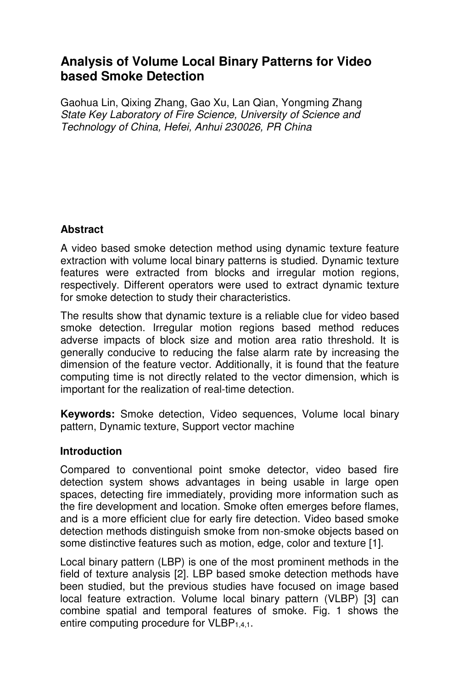# **Analysis of Volume Local Binary Patterns for Video based Smoke Detection**

Gaohua Lin, Qixing Zhang, Gao Xu, Lan Qian, Yongming Zhang State Key Laboratory of Fire Science, University of Science and Technology of China, Hefei, Anhui 230026, PR China

### **Abstract**

A video based smoke detection method using dynamic texture feature extraction with volume local binary patterns is studied. Dynamic texture features were extracted from blocks and irregular motion regions, respectively. Different operators were used to extract dynamic texture for smoke detection to study their characteristics.

The results show that dynamic texture is a reliable clue for video based smoke detection. Irregular motion regions based method reduces adverse impacts of block size and motion area ratio threshold. It is generally conducive to reducing the false alarm rate by increasing the dimension of the feature vector. Additionally, it is found that the feature computing time is not directly related to the vector dimension, which is important for the realization of real-time detection.

**Keywords:** Smoke detection, Video sequences, Volume local binary pattern, Dynamic texture, Support vector machine

### **Introduction**

Compared to conventional point smoke detector, video based fire detection system shows advantages in being usable in large open spaces, detecting fire immediately, providing more information such as the fire development and location. Smoke often emerges before flames, and is a more efficient clue for early fire detection. Video based smoke detection methods distinguish smoke from non-smoke objects based on some distinctive features such as motion, edge, color and texture [1].

Local binary pattern (LBP) is one of the most prominent methods in the field of texture analysis [2]. LBP based smoke detection methods have been studied, but the previous studies have focused on image based local feature extraction. Volume local binary pattern (VLBP) [3] can combine spatial and temporal features of smoke. Fig. 1 shows the entire computing procedure for VLBP<sub>1,4,1</sub>.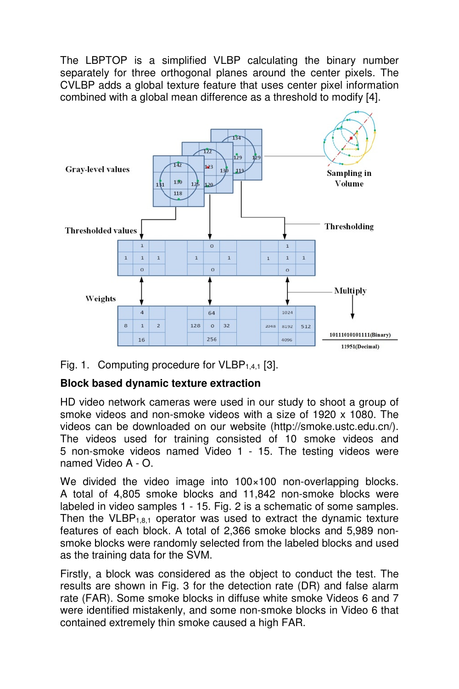The LBPTOP is a simplified VLBP calculating the binary number separately for three orthogonal planes around the center pixels. The CVLBP adds a global texture feature that uses center pixel information combined with a global mean difference as a threshold to modify [4].





# **Block based dynamic texture extraction**

HD video network cameras were used in our study to shoot a group of smoke videos and non-smoke videos with a size of 1920 x 1080. The videos can be downloaded on our website (http://smoke.ustc.edu.cn/). The videos used for training consisted of 10 smoke videos and 5 non-smoke videos named Video 1 - 15. The testing videos were named Video A - O.

We divided the video image into 100×100 non-overlapping blocks. A total of 4,805 smoke blocks and 11,842 non-smoke blocks were labeled in video samples 1 - 15. Fig. 2 is a schematic of some samples. Then the VLBP<sub>1,8,1</sub> operator was used to extract the dynamic texture features of each block. A total of 2,366 smoke blocks and 5,989 nonsmoke blocks were randomly selected from the labeled blocks and used as the training data for the SVM.

Firstly, a block was considered as the object to conduct the test. The results are shown in Fig. 3 for the detection rate (DR) and false alarm rate (FAR). Some smoke blocks in diffuse white smoke Videos 6 and 7 were identified mistakenly, and some non-smoke blocks in Video 6 that contained extremely thin smoke caused a high FAR.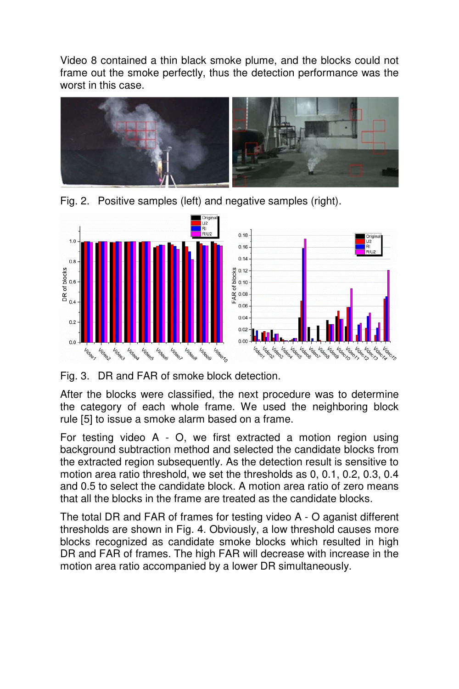Video 8 contained a thin black smoke plume, and the blocks could not frame out the smoke perfectly, thus the detection performance was the worst in this case.



Fig. 2. Positive samples (left) and negative samples (right).



Fig. 3. DR and FAR of smoke block detection.

After the blocks were classified, the next procedure was to determine the category of each whole frame. We used the neighboring block rule [5] to issue a smoke alarm based on a frame.

For testing video A - O, we first extracted a motion region using background subtraction method and selected the candidate blocks from the extracted region subsequently. As the detection result is sensitive to motion area ratio threshold, we set the thresholds as 0, 0.1, 0.2, 0.3, 0.4 and 0.5 to select the candidate block. A motion area ratio of zero means that all the blocks in the frame are treated as the candidate blocks.

The total DR and FAR of frames for testing video A - O aganist different thresholds are shown in Fig. 4. Obviously, a low threshold causes more blocks recognized as candidate smoke blocks which resulted in high DR and FAR of frames. The high FAR will decrease with increase in the motion area ratio accompanied by a lower DR simultaneously.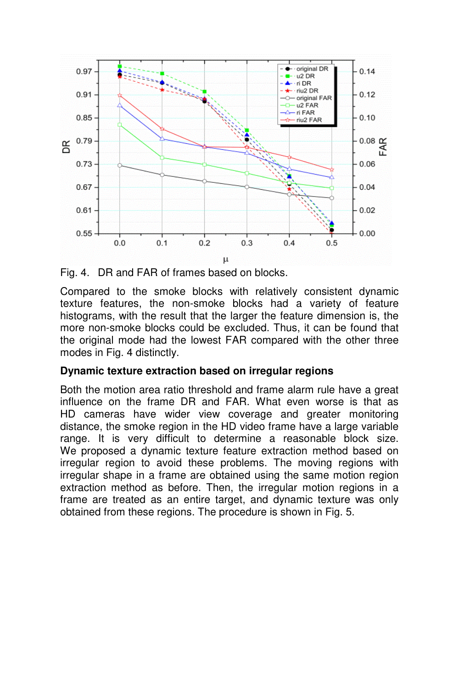

Fig. 4. DR and FAR of frames based on blocks.

Compared to the smoke blocks with relatively consistent dynamic texture features, the non-smoke blocks had a variety of feature histograms, with the result that the larger the feature dimension is, the more non-smoke blocks could be excluded. Thus, it can be found that the original mode had the lowest FAR compared with the other three modes in Fig. 4 distinctly.

#### **Dynamic texture extraction based on irregular regions**

Both the motion area ratio threshold and frame alarm rule have a great influence on the frame DR and FAR. What even worse is that as HD cameras have wider view coverage and greater monitoring distance, the smoke region in the HD video frame have a large variable range. It is very difficult to determine a reasonable block size. We proposed a dynamic texture feature extraction method based on irregular region to avoid these problems. The moving regions with irregular shape in a frame are obtained using the same motion region extraction method as before. Then, the irregular motion regions in a frame are treated as an entire target, and dynamic texture was only obtained from these regions. The procedure is shown in Fig. 5.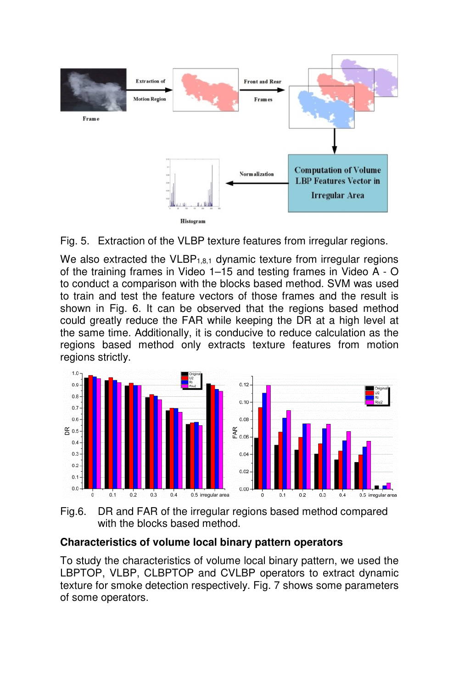



We also extracted the  $VLBP_{1,8,1}$  dynamic texture from irregular regions of the training frames in Video 1–15 and testing frames in Video A - O to conduct a comparison with the blocks based method. SVM was used to train and test the feature vectors of those frames and the result is shown in Fig. 6. It can be observed that the regions based method could greatly reduce the FAR while keeping the DR at a high level at the same time. Additionally, it is conducive to reduce calculation as the regions based method only extracts texture features from motion regions strictly.



Fig.6. DR and FAR of the irregular regions based method compared with the blocks based method.

# **Characteristics of volume local binary pattern operators**

To study the characteristics of volume local binary pattern, we used the LBPTOP, VLBP, CLBPTOP and CVLBP operators to extract dynamic texture for smoke detection respectively. Fig. 7 shows some parameters of some operators.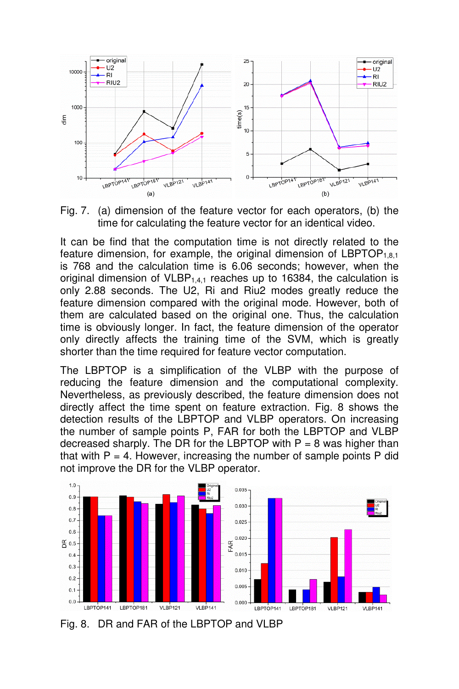

Fig. 7. (a) dimension of the feature vector for each operators, (b) the time for calculating the feature vector for an identical video.

It can be find that the computation time is not directly related to the feature dimension, for example, the original dimension of  $LEPTOP<sub>1,8,1</sub>$ is 768 and the calculation time is 6.06 seconds; however, when the original dimension of  $VLBP_{1,4,1}$  reaches up to 16384, the calculation is only 2.88 seconds. The U2, Ri and Riu2 modes greatly reduce the feature dimension compared with the original mode. However, both of them are calculated based on the original one. Thus, the calculation time is obviously longer. In fact, the feature dimension of the operator only directly affects the training time of the SVM, which is greatly shorter than the time required for feature vector computation.

The LBPTOP is a simplification of the VLBP with the purpose of reducing the feature dimension and the computational complexity. Nevertheless, as previously described, the feature dimension does not directly affect the time spent on feature extraction. Fig. 8 shows the detection results of the LBPTOP and VLBP operators. On increasing the number of sample points P, FAR for both the LBPTOP and VLBP decreased sharply. The DR for the LBPTOP with  $P = 8$  was higher than that with  $P = 4$ . However, increasing the number of sample points  $P$  did not improve the DR for the VLBP operator.



Fig. 8. DR and FAR of the LBPTOP and VLBP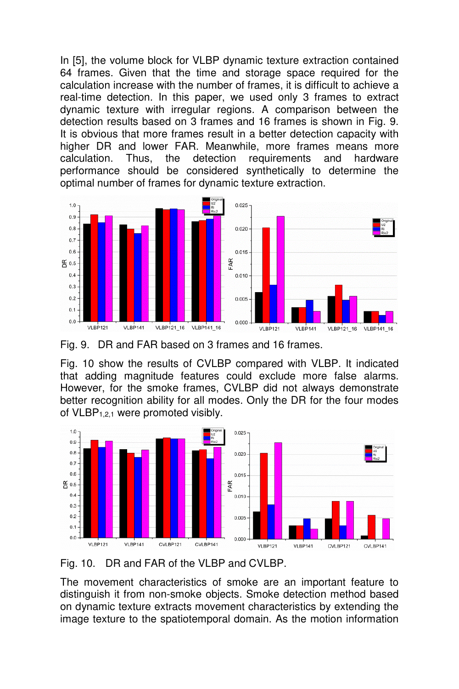In [5], the volume block for VLBP dynamic texture extraction contained 64 frames. Given that the time and storage space required for the calculation increase with the number of frames, it is difficult to achieve a real-time detection. In this paper, we used only 3 frames to extract dynamic texture with irregular regions. A comparison between the detection results based on 3 frames and 16 frames is shown in Fig. 9. It is obvious that more frames result in a better detection capacity with higher DR and lower FAR. Meanwhile, more frames means more calculation. Thus, the detection requirements and hardware performance should be considered synthetically to determine the optimal number of frames for dynamic texture extraction.



Fig. 9. DR and FAR based on 3 frames and 16 frames.

Fig. 10 show the results of CVLBP compared with VLBP. It indicated that adding magnitude features could exclude more false alarms. However, for the smoke frames, CVLBP did not always demonstrate better recognition ability for all modes. Only the DR for the four modes of VLBP1,2,1 were promoted visibly.





The movement characteristics of smoke are an important feature to distinguish it from non-smoke objects. Smoke detection method based on dynamic texture extracts movement characteristics by extending the image texture to the spatiotemporal domain. As the motion information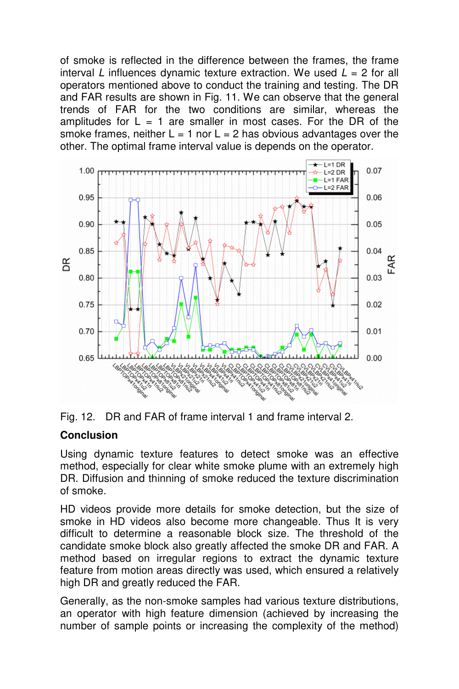of smoke is reflected in the difference between the frames, the frame interval L influences dynamic texture extraction. We used  $L = 2$  for all operators mentioned above to conduct the training and testing. The DR and FAR results are shown in Fig. 11. We can observe that the general trends of FAR for the two conditions are similar, whereas the amplitudes for  $L = 1$  are smaller in most cases. For the DR of the smoke frames, neither  $L = 1$  nor  $L = 2$  has obvious advantages over the other. The optimal frame interval value is depends on the operator.



Fig. 12. DR and FAR of frame interval 1 and frame interval 2.

### **Conclusion**

Using dynamic texture features to detect smoke was an effective method, especially for clear white smoke plume with an extremely high DR. Diffusion and thinning of smoke reduced the texture discrimination of smoke.

HD videos provide more details for smoke detection, but the size of smoke in HD videos also become more changeable. Thus It is very difficult to determine a reasonable block size. The threshold of the candidate smoke block also greatly affected the smoke DR and FAR. A method based on irregular regions to extract the dynamic texture feature from motion areas directly was used, which ensured a relatively high DR and greatly reduced the FAR.

Generally, as the non-smoke samples had various texture distributions, an operator with high feature dimension (achieved by increasing the number of sample points or increasing the complexity of the method)